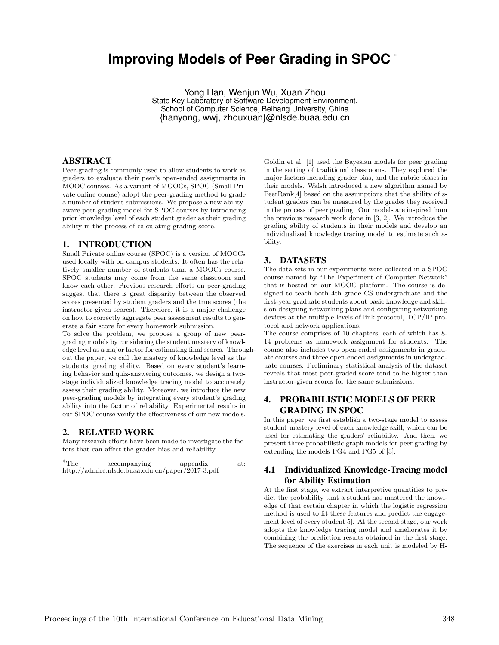# **Improving Models of Peer Grading in SPOC** <sup>∗</sup>

Yong Han, Wenjun Wu, Xuan Zhou State Key Laboratory of Software Development Environment, School of Computer Science, Beihang University, China {hanyong, wwj, zhouxuan}@nlsde.buaa.edu.cn

# ABSTRACT

Peer-grading is commonly used to allow students to work as graders to evaluate their peer's open-ended assignments in MOOC courses. As a variant of MOOCs, SPOC (Small Private online course) adopt the peer-grading method to grade a number of student submissions. We propose a new abilityaware peer-grading model for SPOC courses by introducing prior knowledge level of each student grader as their grading ability in the process of calculating grading score.

#### 1. INTRODUCTION

Small Private online course (SPOC) is a version of MOOCs used locally with on-campus students. It often has the relatively smaller number of students than a MOOCs course. SPOC students may come from the same classroom and know each other. Previous research efforts on peer-grading suggest that there is great disparity between the observed scores presented by student graders and the true scores (the instructor-given scores). Therefore, it is a major challenge on how to correctly aggregate peer assessment results to generate a fair score for every homework submission.

To solve the problem, we propose a group of new peergrading models by considering the student mastery of knowledge level as a major factor for estimating final scores. Throughout the paper, we call the mastery of knowledge level as the students' grading ability. Based on every student's learning behavior and quiz-answering outcomes, we design a twostage individualized knowledge tracing model to accurately assess their grading ability. Moreover, we introduce the new peer-grading models by integrating every student's grading ability into the factor of reliability. Experimental results in our SPOC course verify the effectiveness of our new models.

### 2. RELATED WORK

Many research efforts have been made to investigate the factors that can affect the grader bias and reliability.

| $^*$ The | accompanying                                     | appendix | at: |
|----------|--------------------------------------------------|----------|-----|
|          | http://admire.nlsde.buaa.edu.cn/paper/2017-3.pdf |          |     |

Goldin et al. [1] used the Bayesian models for peer grading in the setting of traditional classrooms. They explored the major factors including grader bias, and the rubric biases in their models. Walsh introduced a new algorithm named by PeerRank[4] based on the assumptions that the ability of student graders can be measured by the grades they received in the process of peer grading. Our models are inspired from the previous research work done in [3, 2]. We introduce the grading ability of students in their models and develop an individualized knowledge tracing model to estimate such ability.

# 3. DATASETS

The data sets in our experiments were collected in a SPOC course named by "The Experiment of Computer Network" that is hosted on our MOOC platform. The course is designed to teach both 4th grade CS undergraduate and the first-year graduate students about basic knowledge and skills on designing networking plans and configuring networking devices at the multiple levels of link protocol, TCP/IP protocol and network applications.

The course comprises of 10 chapters, each of which has 8- 14 problems as homework assignment for students. The course also includes two open-ended assignments in graduate courses and three open-ended assignments in undergraduate courses. Preliminary statistical analysis of the dataset reveals that most peer-graded score tend to be higher than instructor-given scores for the same submissions.

# 4. PROBABILISTIC MODELS OF PEER GRADING IN SPOC

In this paper, we first establish a two-stage model to assess student mastery level of each knowledge skill, which can be used for estimating the graders' reliability. And then, we present three probabilistic graph models for peer grading by extending the models PG4 and PG5 of [3].

# 4.1 Individualized Knowledge-Tracing model for Ability Estimation

At the first stage, we extract interpretive quantities to predict the probability that a student has mastered the knowledge of that certain chapter in which the logistic regression method is used to fit these features and predict the engagement level of every student[5]. At the second stage, our work adopts the knowledge tracing model and ameliorates it by combining the prediction results obtained in the first stage. The sequence of the exercises in each unit is modeled by H-